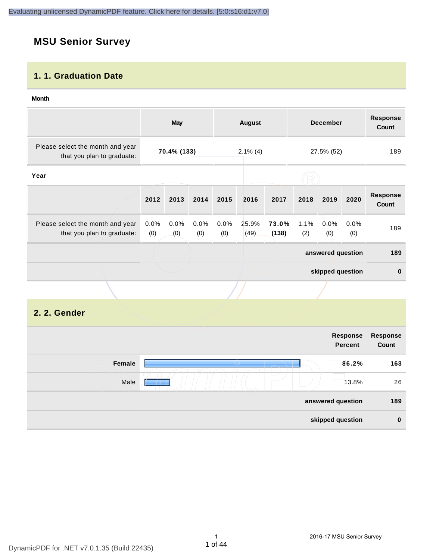# **MSU Senior Survey**

#### **1. 1. Graduation Date**

#### **Month**

|                                                                |                | <b>May</b>  |                |             | August        |                |             | <b>December</b>   |             | <b>Response</b><br>Count |
|----------------------------------------------------------------|----------------|-------------|----------------|-------------|---------------|----------------|-------------|-------------------|-------------|--------------------------|
| Please select the month and year<br>that you plan to graduate: |                | 70.4% (133) |                |             | $2.1\%$ (4)   |                |             | 27.5% (52)        |             | 189                      |
| Year                                                           |                |             |                |             |               |                |             |                   |             |                          |
|                                                                | 2012           | 2013        | 2014           | 2015        | 2016          | 2017           | 2018        | 2019              | 2020        | <b>Response</b><br>Count |
| Please select the month and year<br>that you plan to graduate: | $0.0\%$<br>(0) | 0.0%<br>(0) | $0.0\%$<br>(0) | 0.0%<br>(0) | 25.9%<br>(49) | 73.0%<br>(138) | 1.1%<br>(2) | 0.0%<br>(0)       | 0.0%<br>(0) | 189                      |
|                                                                |                |             |                |             |               |                |             | answered question |             | 189                      |
|                                                                |                |             |                |             |               |                |             | skipped question  |             | $\bf{0}$                 |
|                                                                |                |             |                |             |               |                |             |                   |             |                          |

#### **2. 2. Gender**

|        | Response<br><b>Percent</b>        | Response<br>Count |
|--------|-----------------------------------|-------------------|
| Female | 86.2%                             | 163               |
| Male   | $\overline{\phantom{a}}$<br>13.8% | 26                |
|        | answered question                 | 189               |
|        | skipped question                  | $\mathbf 0$       |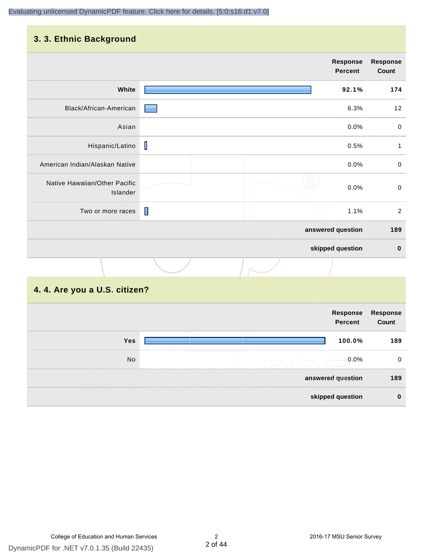#### **3. 3. Ethnic Background**

|                                           |                         | <b>Response</b><br><b>Percent</b> | <b>Response</b><br>Count |
|-------------------------------------------|-------------------------|-----------------------------------|--------------------------|
| White                                     |                         | 92.1%                             | 174                      |
| Black/African-American                    |                         | 6.3%                              | 12                       |
| Asian                                     |                         | 0.0%                              | $\mathbf 0$              |
| Hispanic/Latino                           | $\overline{\mathsf{I}}$ | 0.5%                              | $\mathbf{1}$             |
| American Indian/Alaskan Native            |                         | 0.0%                              | $\mathbf 0$              |
| Native Hawaiian/Other Pacific<br>Islander |                         | 0.0%                              | $\pmb{0}$                |
| Two or more races                         | П                       | 1.1%                              | $\overline{2}$           |
|                                           |                         | answered question                 | 189                      |
|                                           |                         | skipped question                  | $\pmb{0}$                |
|                                           |                         |                                   |                          |

# **4. 4. Are you a U.S. citizen?**

|            | Response<br><b>Percent</b> | Response<br>Count |
|------------|----------------------------|-------------------|
| <b>Yes</b> | 100.0%                     | 189               |
| No         | $0.0\%$<br>$\bigcirc$      | 0                 |
|            | answered question          | 189               |
|            | skipped question           | $\mathbf 0$       |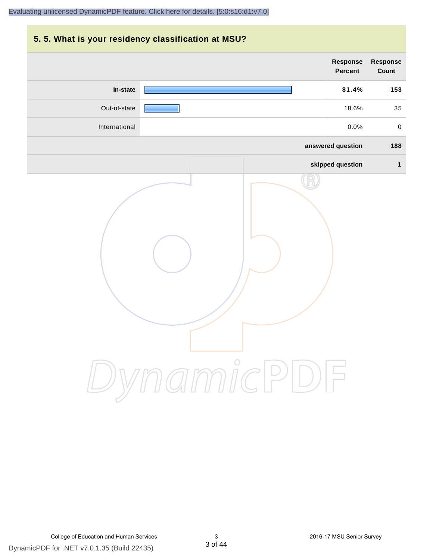# **5. 5. What is your residency classification at MSU? Response Response Percent Count In-state 81.4% 153** Out-of-state 18.6% 35 International 0.0% 0 **answered question 188 skipped question 1** DynamicPDF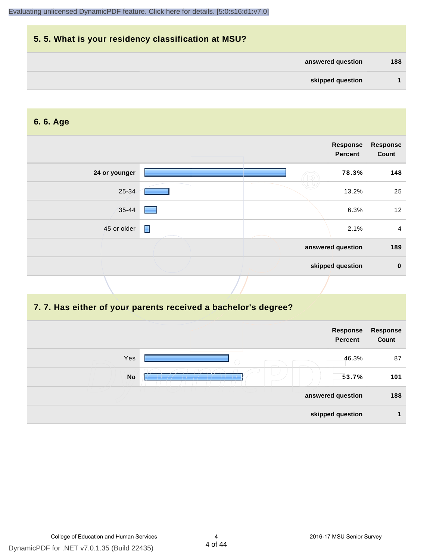| 5.5. What is your residency classification at MSU? |     |
|----------------------------------------------------|-----|
| answered question                                  | 188 |
| skipped question                                   |     |

#### **6. 6. Age**

|               |                | Response<br>Percent | <b>Response</b><br>Count |
|---------------|----------------|---------------------|--------------------------|
| 24 or younger |                | 78.3%               | 148                      |
| 25-34         |                | 13.2%               | 25                       |
| 35-44         |                | 6.3%                | 12                       |
| 45 or older   | $\blacksquare$ | 2.1%                | 4                        |
|               |                | answered question   | 189                      |
|               |                | skipped question    | $\mathbf 0$              |

# **7. 7. Has either of your parents received a bachelor's degree?**

|                   | Response<br><b>Percent</b> | Response<br>Count |
|-------------------|----------------------------|-------------------|
| Yes<br>$\bigcirc$ | 46.3%                      | 87                |
| <b>No</b>         | 53.7%                      | 101               |
|                   | answered question          | 188               |
|                   | skipped question           |                   |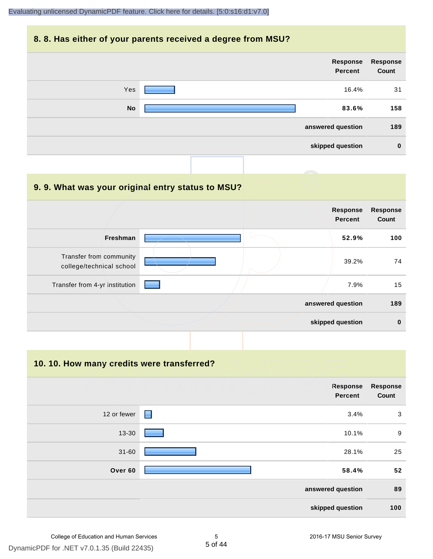#### **8. 8. Has either of your parents received a degree from MSU?**

| Response<br>Count | Response<br><b>Percent</b> |           |
|-------------------|----------------------------|-----------|
| 31                | 16.4%                      | Yes       |
| 158               | 83.6%                      | <b>No</b> |
| 189               | answered question          |           |
| $\bf{0}$          | skipped question           |           |

| 9.9. What was your original entry status to MSU?    |                                   |                          |
|-----------------------------------------------------|-----------------------------------|--------------------------|
|                                                     | <b>Response</b><br><b>Percent</b> | <b>Response</b><br>Count |
| <b>Freshman</b>                                     | 52.9%                             | 100                      |
| Transfer from community<br>college/technical school | 39.2%                             | 74                       |
| Transfer from 4-yr institution                      | 7.9%                              | 15                       |
|                                                     | answered question                 | 189                      |
|                                                     | skipped question                  | $\bf{0}$                 |

**10. 10. How many credits were transferred?**

| <b>Response</b><br>Count | Response<br><b>Percent</b> |   |             |
|--------------------------|----------------------------|---|-------------|
| 3                        | 3.4%                       | Е | 12 or fewer |
| 9                        | 10.1%                      |   | 13-30       |
| 25                       | 28.1%                      |   | $31 - 60$   |
| 52                       | 58.4%                      |   | Over 60     |
| 89                       | answered question          |   |             |
| 100                      | skipped question           |   |             |

5 of 44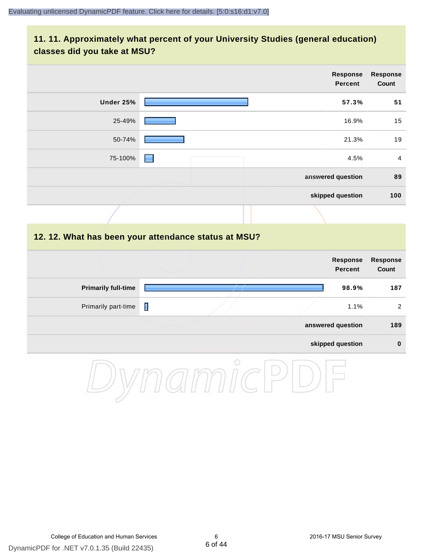#### **11. 11. Approximately what percent of your University Studies (general education) classes did you take at MSU?**

|                                                      |   |  | <b>Response</b><br><b>Percent</b> | <b>Response</b><br>Count |
|------------------------------------------------------|---|--|-----------------------------------|--------------------------|
| Under 25%                                            |   |  | 57.3%                             | 51                       |
| 25-49%                                               |   |  | 16.9%                             | 15                       |
| 50-74%                                               |   |  | 21.3%                             | 19                       |
| 75-100%                                              |   |  | 4.5%                              | $\overline{4}$           |
|                                                      |   |  | answered question                 | 89                       |
|                                                      |   |  | skipped question                  | 100                      |
|                                                      |   |  |                                   |                          |
| 12. 12. What has been your attendance status at MSU? |   |  |                                   |                          |
|                                                      |   |  | <b>Response</b><br><b>Percent</b> | <b>Response</b><br>Count |
| <b>Primarily full-time</b>                           |   |  | 98.9%                             | 187                      |
| Primarily part-time                                  | П |  | 1.1%                              | $\overline{2}$           |
|                                                      |   |  | answered question                 | 189                      |
|                                                      |   |  | skipped question                  | $\pmb{0}$                |

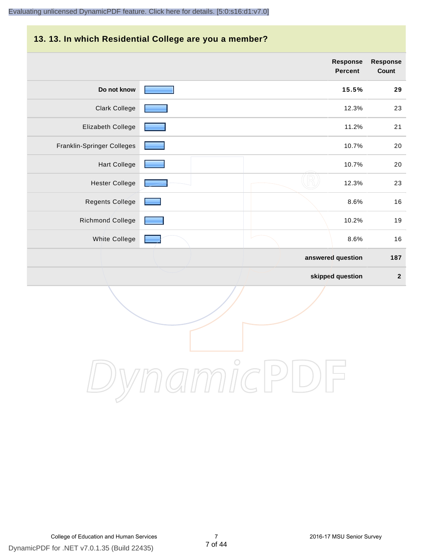# **13. 13. In which Residential College are you a member?**

|                            | <b>Response</b><br><b>Percent</b> | <b>Response</b><br>Count |
|----------------------------|-----------------------------------|--------------------------|
| Do not know                | 15.5%                             | 29                       |
| <b>Clark College</b>       | 12.3%                             | 23                       |
| Elizabeth College          | 11.2%                             | 21                       |
| Franklin-Springer Colleges | 10.7%                             | 20                       |
| <b>Hart College</b>        | 10.7%                             | 20                       |
| <b>Hester College</b>      | 12.3%                             | 23                       |
| <b>Regents College</b>     | 8.6%                              | 16                       |
| <b>Richmond College</b>    | 10.2%                             | 19                       |
| White College              | 8.6%                              | 16                       |
|                            | answered question                 | 187                      |
|                            | skipped question                  | $\mathbf{2}$             |

DynamicPDF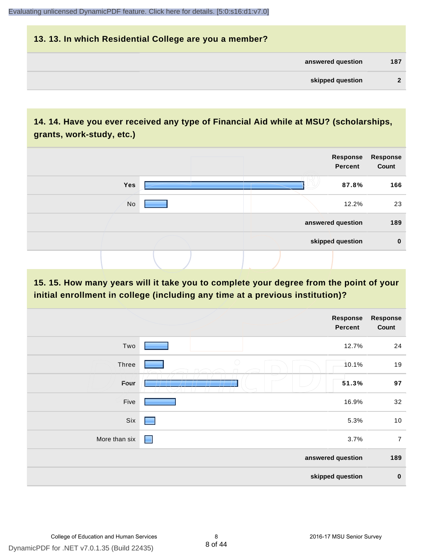# **13. 13. In which Residential College are you a member? answered question 187 skipped question 2**

#### **14. 14. Have you ever received any type of Financial Aid while at MSU? (scholarships, grants, work-study, etc.)**



**15. 15. How many years will it take you to complete your degree from the point of your initial enrollment in college (including any time at a previous institution)?**

|               |            | <b>Response</b><br>Percent | <b>Response</b><br>Count |
|---------------|------------|----------------------------|--------------------------|
| Two           |            | 12.7%                      | 24                       |
| Three         | $\bigcirc$ | 10.1%                      | 19                       |
| Four          |            | 51.3%                      | 97                       |
| Five          |            | 16.9%                      | 32                       |
| Six           | ۰          | 5.3%                       | 10                       |
| More than six | E          | 3.7%                       | $\overline{7}$           |
|               |            | answered question          | 189                      |
|               |            | skipped question           | $\bf{0}$                 |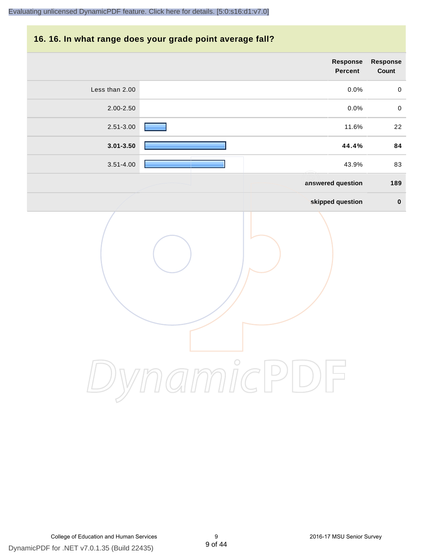#### **16. 16. In what range does your grade point average fall?**

| Response<br>Count | Response<br>Percent |                |
|-------------------|---------------------|----------------|
| $\pmb{0}$         | 0.0%                | Less than 2.00 |
| $\pmb{0}$         | $0.0\%$             | 2.00-2.50      |
| $22\,$            | 11.6%               | $2.51 - 3.00$  |
| 84                | 44.4%               | $3.01 - 3.50$  |
| 83                | 43.9%               | $3.51 - 4.00$  |
| 189               | answered question   |                |
| $\pmb{0}$         | skipped question    |                |
|                   | $\bigcirc$          |                |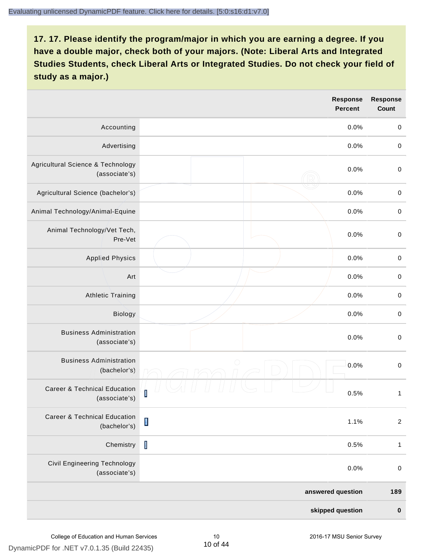|                                                          |                                                                                                                                                                                                                                                                                                                                                                                  | <b>Response</b><br><b>Percent</b> | <b>Response</b><br><b>Count</b> |
|----------------------------------------------------------|----------------------------------------------------------------------------------------------------------------------------------------------------------------------------------------------------------------------------------------------------------------------------------------------------------------------------------------------------------------------------------|-----------------------------------|---------------------------------|
| Accounting                                               |                                                                                                                                                                                                                                                                                                                                                                                  | 0.0%                              | $\mathbf 0$                     |
| Advertising                                              |                                                                                                                                                                                                                                                                                                                                                                                  | 0.0%                              | $\pmb{0}$                       |
| Agricultural Science & Technology<br>(associate's)       |                                                                                                                                                                                                                                                                                                                                                                                  | 0.0%                              | $\mathbf 0$                     |
| Agricultural Science (bachelor's)                        |                                                                                                                                                                                                                                                                                                                                                                                  | 0.0%                              | $\mathbf 0$                     |
| Animal Technology/Animal-Equine                          |                                                                                                                                                                                                                                                                                                                                                                                  | 0.0%                              | $\mathbf 0$                     |
| Animal Technology/Vet Tech,<br>Pre-Vet                   |                                                                                                                                                                                                                                                                                                                                                                                  | 0.0%                              | $\mathbf 0$                     |
| <b>Applied Physics</b>                                   |                                                                                                                                                                                                                                                                                                                                                                                  | 0.0%                              | $\mathbf 0$                     |
| Art                                                      |                                                                                                                                                                                                                                                                                                                                                                                  | 0.0%                              | $\boldsymbol{0}$                |
| <b>Athletic Training</b>                                 |                                                                                                                                                                                                                                                                                                                                                                                  | 0.0%                              | $\boldsymbol{0}$                |
| Biology                                                  |                                                                                                                                                                                                                                                                                                                                                                                  | 0.0%                              | $\pmb{0}$                       |
| <b>Business Administration</b><br>(associate's)          |                                                                                                                                                                                                                                                                                                                                                                                  | 0.0%                              | $\pmb{0}$                       |
| <b>Business Administration</b><br>(bachelor's)           | $\bigcirc$                                                                                                                                                                                                                                                                                                                                                                       | 0.0%                              | $\boldsymbol{0}$                |
| <b>Career &amp; Technical Education</b><br>(associate's) | Ī                                                                                                                                                                                                                                                                                                                                                                                | 0.5%                              | $\mathbf{1}$                    |
| Career & Technical Education<br>(bachelor's)             | $\begin{array}{c} \rule{0pt}{2.5ex} \rule{0pt}{2.5ex} \rule{0pt}{2.5ex} \rule{0pt}{2.5ex} \rule{0pt}{2.5ex} \rule{0pt}{2.5ex} \rule{0pt}{2.5ex} \rule{0pt}{2.5ex} \rule{0pt}{2.5ex} \rule{0pt}{2.5ex} \rule{0pt}{2.5ex} \rule{0pt}{2.5ex} \rule{0pt}{2.5ex} \rule{0pt}{2.5ex} \rule{0pt}{2.5ex} \rule{0pt}{2.5ex} \rule{0pt}{2.5ex} \rule{0pt}{2.5ex} \rule{0pt}{2.5ex} \rule{0$ | 1.1%                              | $\overline{c}$                  |
| Chemistry                                                | $\mathbf I$                                                                                                                                                                                                                                                                                                                                                                      | 0.5%                              | $\mathbf{1}$                    |
| <b>Civil Engineering Technology</b><br>(associate's)     |                                                                                                                                                                                                                                                                                                                                                                                  | 0.0%                              | $\mathbf 0$                     |
|                                                          |                                                                                                                                                                                                                                                                                                                                                                                  | answered question                 | 189                             |
|                                                          |                                                                                                                                                                                                                                                                                                                                                                                  | skipped question                  | $\pmb{0}$                       |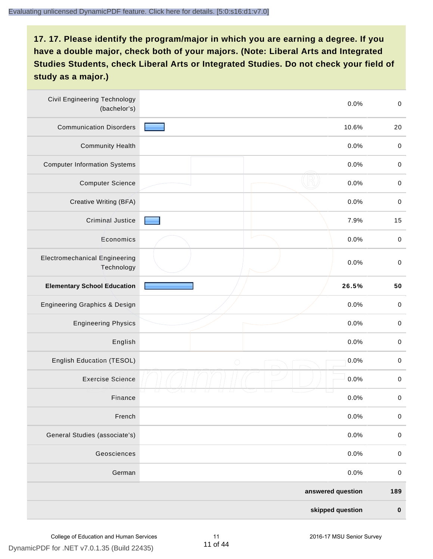| <b>Civil Engineering Technology</b><br>(bachelor's) | 0.0%               |             |
|-----------------------------------------------------|--------------------|-------------|
| <b>Communication Disorders</b>                      | 10.6%              | 20          |
| <b>Community Health</b>                             | 0.0%               | $\pmb{0}$   |
| <b>Computer Information Systems</b>                 | 0.0%               | $\pmb{0}$   |
| <b>Computer Science</b>                             | 0.0%               | $\pmb{0}$   |
| Creative Writing (BFA)                              | 0.0%               | $\pmb{0}$   |
| Criminal Justice                                    | 7.9%               | 15          |
| Economics                                           | 0.0%               | $\pmb{0}$   |
| <b>Electromechanical Engineering</b><br>Technology  | 0.0%               | $\mathbf 0$ |
| <b>Elementary School Education</b>                  | 26.5%              |             |
| Engineering Graphics & Design                       | 0.0%               | $\mathbf 0$ |
| <b>Engineering Physics</b>                          | 0.0%               | $\mathbf 0$ |
| English                                             | 0.0%               | $\pmb{0}$   |
| English Education (TESOL)                           | 0.0%<br>$\bigcirc$ | $\pmb{0}$   |
| <b>Exercise Science</b>                             | 0.0%               | $\pmb{0}$   |
| Finance                                             | 0.0%               | $\mathbf 0$ |
| French                                              | 0.0%               | $\mathbf 0$ |
| General Studies (associate's)                       | 0.0%               | $\mathbf 0$ |
| Geosciences                                         | 0.0%               | $\mathbf 0$ |
| German                                              | 0.0%               | $\mathbf 0$ |
|                                                     | answered question  | 189         |
|                                                     | skipped question   | $\pmb{0}$   |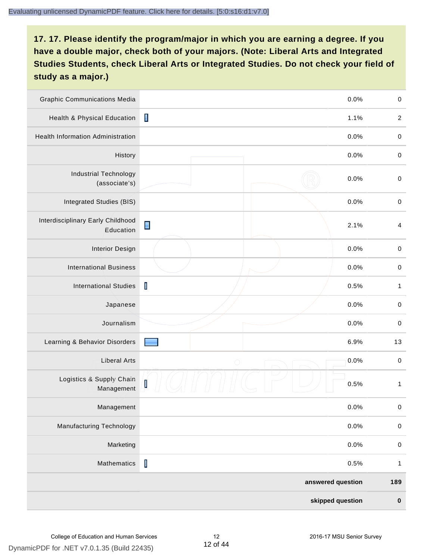| <b>Graphic Communications Media</b>            |                                             | 0.0%              | $\mathbf 0$  |
|------------------------------------------------|---------------------------------------------|-------------------|--------------|
| Health & Physical Education                    | $\blacksquare$                              | 1.1%              | $\sqrt{2}$   |
| <b>Health Information Administration</b>       |                                             | 0.0%              | $\mathbf 0$  |
| History                                        |                                             | 0.0%              | $\,0\,$      |
| <b>Industrial Technology</b><br>(associate's)  |                                             | 0.0%              | $\mathbf 0$  |
| Integrated Studies (BIS)                       |                                             | 0.0%              | $\pmb{0}$    |
| Interdisciplinary Early Childhood<br>Education | $\blacksquare$                              | 2.1%              | 4            |
| <b>Interior Design</b>                         |                                             | 0.0%              | $\mathbf 0$  |
| <b>International Business</b>                  |                                             | 0.0%              | $\mathbf 0$  |
| <b>International Studies</b>                   | $\mathbf I$                                 | 0.5%              | $\mathbf{1}$ |
| Japanese                                       |                                             | 0.0%              | $\mathbf 0$  |
| Journalism                                     |                                             | 0.0%              | $\pmb{0}$    |
| Learning & Behavior Disorders                  |                                             | 6.9%              | 13           |
| <b>Liberal Arts</b>                            | $\bigcirc$                                  | 0.0%              | $\mathbf 0$  |
| Logistics & Supply Chain<br>Management         | $\begin{bmatrix} \phantom{-} \end{bmatrix}$ | 0.5%              | $\mathbf{1}$ |
| Management                                     |                                             | 0.0%              | $\pmb{0}$    |
| Manufacturing Technology                       |                                             | 0.0%              | $\pmb{0}$    |
| Marketing                                      |                                             | 0.0%              | $\mathbf 0$  |
| Mathematics                                    | $\mathbf I$                                 | 0.5%              | $\mathbf{1}$ |
|                                                |                                             | answered question | 189          |
|                                                |                                             | skipped question  | $\pmb{0}$    |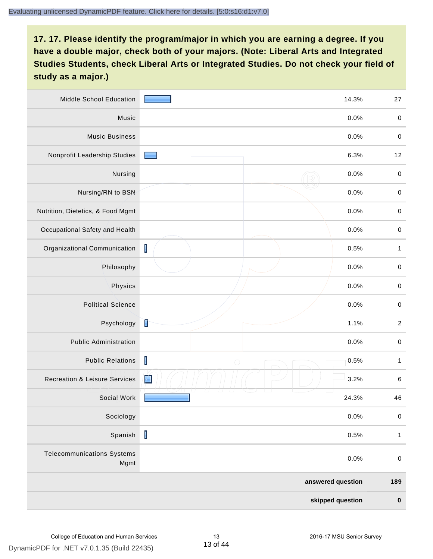| Middle School Education                   | 14.3%                     |                   | 27           |
|-------------------------------------------|---------------------------|-------------------|--------------|
| Music                                     |                           | 0.0%              | $\,0\,$      |
| <b>Music Business</b>                     |                           | 0.0%              | $\mathbf 0$  |
| Nonprofit Leadership Studies              |                           | 6.3%              | 12           |
| Nursing                                   |                           | 0.0%              | $\pmb{0}$    |
| Nursing/RN to BSN                         |                           | 0.0%              | $\,0\,$      |
| Nutrition, Dietetics, & Food Mgmt         |                           | 0.0%              | $\pmb{0}$    |
| Occupational Safety and Health            |                           | 0.0%              | $\pmb{0}$    |
| Organizational Communication              | $\mathbf I$               | 0.5%              | $\mathbf{1}$ |
| Philosophy                                |                           | 0.0%              | $\mathbf 0$  |
| Physics                                   |                           | 0.0%              | $\,0\,$      |
| <b>Political Science</b>                  |                           | 0.0%              | $\mathbf 0$  |
| Psychology                                | Ì                         | 1.1%              | $\sqrt{2}$   |
| <b>Public Administration</b>              |                           | 0.0%              | $\mathbf 0$  |
| <b>Public Relations</b>                   | $\mathsf I$<br>$\bigcirc$ | 0.5%              | 1            |
| <b>Recreation &amp; Leisure Services</b>  | Z                         | 3.2%              | $\,6\,$      |
| Social Work                               |                           | 24.3%             | 46           |
| Sociology                                 |                           | 0.0%              | $\pmb{0}$    |
| Spanish                                   | $\mathbf I$               | 0.5%              | $\mathbf{1}$ |
| <b>Telecommunications Systems</b><br>Mgmt |                           | 0.0%              | $\mathbf 0$  |
|                                           |                           | answered question | 189          |
|                                           |                           | skipped question  | $\pmb{0}$    |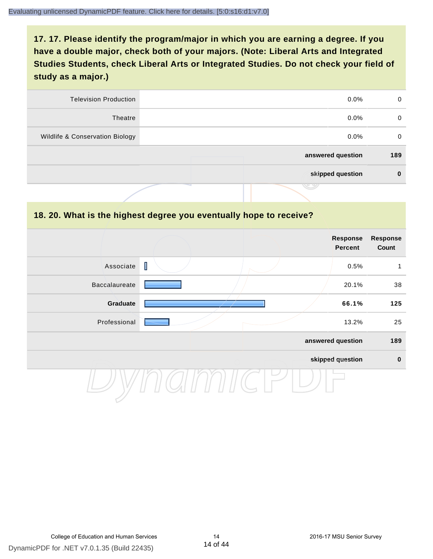| 0   | $0.0\%$           | <b>Television Production</b>    |
|-----|-------------------|---------------------------------|
| 0   | $0.0\%$           | Theatre                         |
| 0   | $0.0\%$           | Wildlife & Conservation Biology |
| 189 | answered question |                                 |
| 0   | skipped question  |                                 |
|     | J 9               |                                 |

#### **18. 20. What is the highest degree you eventually hope to receive?**

|                      | <b>Response</b><br><b>Response</b><br><b>Percent</b> |                   |             |
|----------------------|------------------------------------------------------|-------------------|-------------|
| Associate            | $\mathbf I$                                          | 0.5%              | 1           |
| <b>Baccalaureate</b> |                                                      | 20.1%             | 38          |
| Graduate             |                                                      | 66.1%             | 125         |
| Professional         |                                                      | 13.2%             | 25          |
|                      |                                                      | answered question | 189         |
|                      |                                                      | skipped question  | $\mathbf 0$ |
|                      |                                                      |                   |             |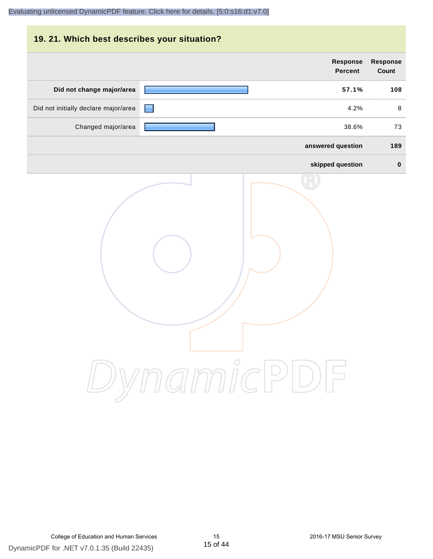| 19. 21. Which best describes your situation? |                                   |                                 |
|----------------------------------------------|-----------------------------------|---------------------------------|
|                                              | <b>Response</b><br><b>Percent</b> | <b>Response</b><br><b>Count</b> |
| Did not change major/area                    | 57.1%                             | 108                             |
| Did not initially declare major/area         | 4.2%                              | 8                               |
| Changed major/area                           | 38.6%                             | 73                              |
|                                              | answered question                 | 189                             |
|                                              | skipped question                  | $\bf{0}$                        |
|                                              | DynamicPDF                        |                                 |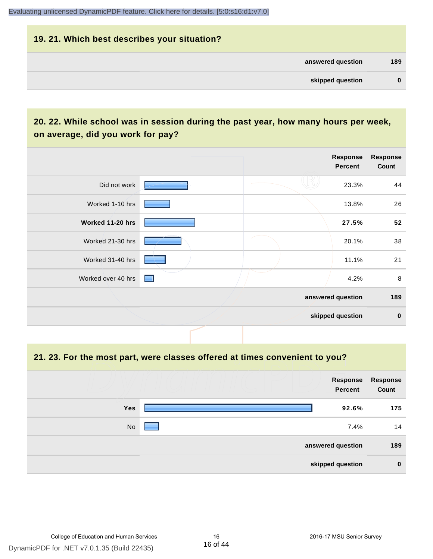# **19. 21. Which best describes your situation? answered question 189 skipped question 0**

#### **20. 22. While school was in session during the past year, how many hours per week, on average, did you work for pay?**

|                    |                 | Response<br>Percent | <b>Response</b><br>Count |
|--------------------|-----------------|---------------------|--------------------------|
| Did not work       |                 | 23.3%               | 44                       |
| Worked 1-10 hrs    |                 | 13.8%               | 26                       |
| Worked 11-20 hrs   |                 | 27.5%               | 52                       |
| Worked 21-30 hrs   |                 | 20.1%               | 38                       |
| Worked 31-40 hrs   |                 | 11.1%               | 21                       |
| Worked over 40 hrs | <b>Contract</b> | 4.2%                | $\,8\,$                  |
|                    |                 | answered question   | 189                      |
|                    |                 | skipped question    | $\mathbf 0$              |

**21. 23. For the most part, were classes offered at times convenient to you?**

|                   | Response<br>Percent | <b>Response</b><br>Count |
|-------------------|---------------------|--------------------------|
| <b>Yes</b>        | 92.6%               | 175                      |
| No                | 7.4%                | 14                       |
| answered question |                     |                          |
| skipped question  |                     |                          |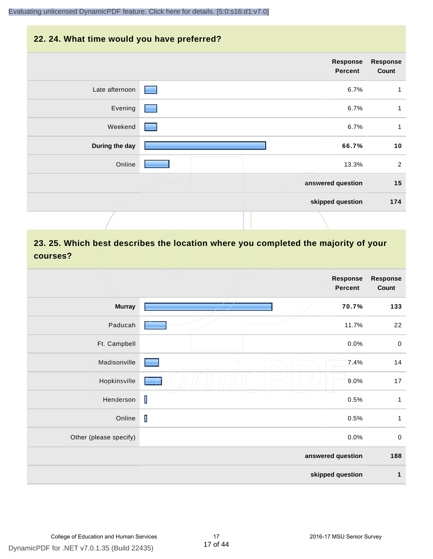# **22. 24. What time would you have preferred?**

| <b>Response</b><br>Count | Response<br><b>Percent</b> |                              |                |
|--------------------------|----------------------------|------------------------------|----------------|
| 1                        | 6.7%                       | $\qquad \qquad \blacksquare$ | Late afternoon |
| 1                        | 6.7%                       |                              | Evening        |
| 1                        | 6.7%                       |                              | Weekend        |
| 10                       | 66.7%                      |                              | During the day |
| $\overline{2}$           | 13.3%                      |                              | Online         |
| 15                       | answered question          |                              |                |
| 174                      | skipped question           |                              |                |
|                          |                            |                              |                |

# **23. 25. Which best describes the location where you completed the majority of your courses?**

|                        |             | Response<br><b>Percent</b> | <b>Response</b><br>Count |
|------------------------|-------------|----------------------------|--------------------------|
| <b>Murray</b>          |             | 70.7%                      | 133                      |
| Paducah                |             | 11.7%                      | 22                       |
| Ft. Campbell           |             | 0.0%                       | $\pmb{0}$                |
| Madisonville           | $\bigcirc$  | 7.4%                       | 14                       |
| Hopkinsville           |             | 9.0%                       | 17                       |
| Henderson              | T           | 0.5%                       | $\mathbf{1}$             |
| Online                 | $\mathbf I$ | 0.5%                       | $\mathbf{1}$             |
| Other (please specify) |             | 0.0%                       | $\,0\,$                  |
|                        |             | answered question          | 188                      |
|                        |             | skipped question           | $\mathbf{1}$             |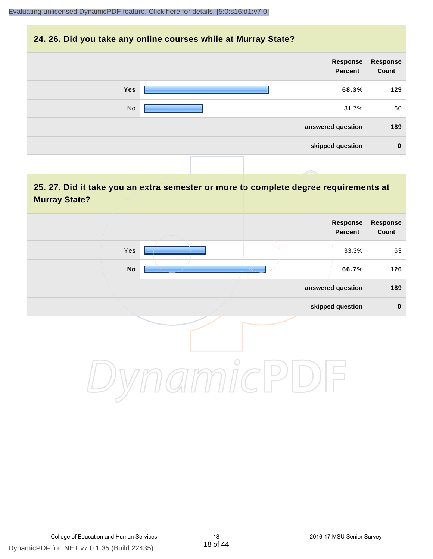#### **24. 26. Did you take any online courses while at Murray State?**

| Response<br>Count | Response<br>Percent |     |
|-------------------|---------------------|-----|
| 129               | 68.3%               | Yes |
| 60                | 31.7%               | No  |
| 189               | answered question   |     |
| $\mathbf 0$       | skipped question    |     |
|                   |                     |     |

#### **25. 27. Did it take you an extra semester or more to complete degree requirements at Murray State?**

| Response<br>Count | Response<br>Percent |         |                            |  |
|-------------------|---------------------|---------|----------------------------|--|
| 63                | 33.3%               |         | Yes                        |  |
| 126               | 66.7%               |         | $\mathop{\sf No}\nolimits$ |  |
| 189               | answered question   |         |                            |  |
| $\pmb{0}$         | skipped question    |         |                            |  |
|                   |                     | $\circ$ |                            |  |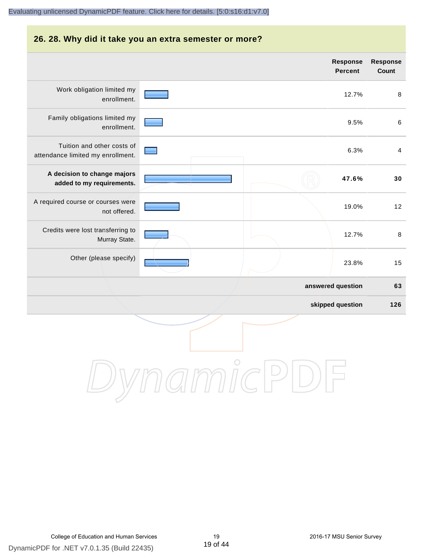# **26. 28. Why did it take you an extra semester or more? answered question 63 skipped question 126 Response Percent Response Count** Work obligation limited my enrollment. 12.7% 8 Family obligations limited my enrollment. 9.5% 6 Tuition and other costs of attendance limited my enrollment. 6.3% 4 **A decision to change majors added to my requirements. 47.6% 30** A required course or courses were not offered. 19.0% 12 Credits were lost transferring to Murray State. 12.7% 8 Other (please specify) 23.8% 15

DynamicPDF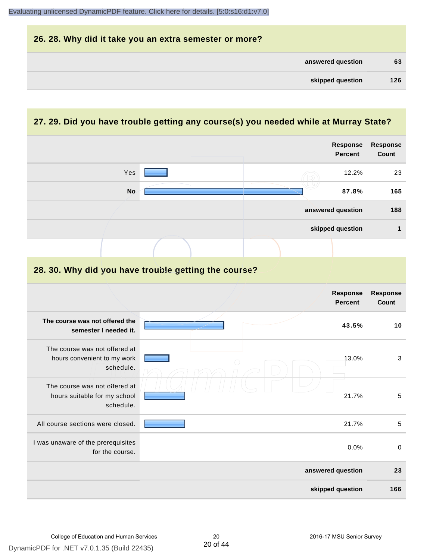| 26. 28. Why did it take you an extra semester or more? |     |
|--------------------------------------------------------|-----|
| answered question                                      | 63  |
| skipped question                                       | 126 |

# **27. 29. Did you have trouble getting any course(s) you needed while at Murray State?**

|                                                                            |  |  | <b>Response</b><br><b>Percent</b> | Response<br>Count        |
|----------------------------------------------------------------------------|--|--|-----------------------------------|--------------------------|
| Yes                                                                        |  |  | 12.2%                             | 23                       |
| <b>No</b>                                                                  |  |  | 87.8%                             | 165                      |
|                                                                            |  |  | answered question                 | 188                      |
|                                                                            |  |  | skipped question                  | 1                        |
|                                                                            |  |  |                                   |                          |
| 28. 30. Why did you have trouble getting the course?                       |  |  |                                   |                          |
|                                                                            |  |  | <b>Response</b><br><b>Percent</b> | Response<br><b>Count</b> |
| The course was not offered the<br>semester I needed it.                    |  |  | 43.5%                             | 10                       |
| The course was not offered at<br>hours convenient to my work<br>schedule.  |  |  | 13.0%                             | 3                        |
| The course was not offered at<br>hours suitable for my school<br>schedule. |  |  | 21.7%                             | 5                        |
| All course sections were closed.                                           |  |  | 21.7%                             | 5                        |
| I was unaware of the prerequisites<br>for the course.                      |  |  | 0.0%                              | $\mathbf 0$              |
|                                                                            |  |  | answered question                 | 23                       |
|                                                                            |  |  | skipped question                  | 166                      |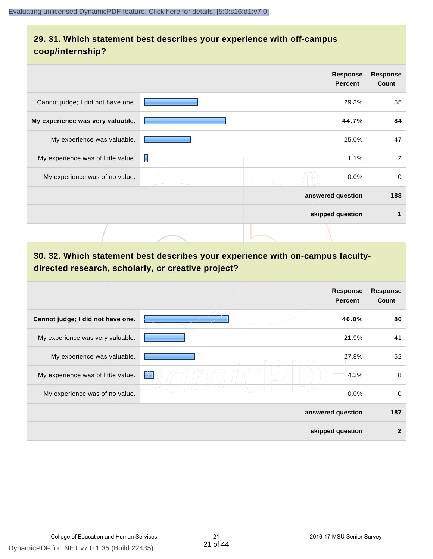#### **29. 31. Which statement best describes your experience with off-campus coop/internship?**

|                                    |   | <b>Response</b><br><b>Percent</b> | <b>Response</b><br>Count |
|------------------------------------|---|-----------------------------------|--------------------------|
| Cannot judge; I did not have one.  |   | 29.3%                             | 55                       |
| My experience was very valuable.   |   | 44.7%                             | 84                       |
| My experience was valuable.        |   | 25.0%                             | 47                       |
| My experience was of little value. | Π | 1.1%                              | 2                        |
| My experience was of no value.     |   | $0.0\%$                           | $\mathbf 0$              |
|                                    |   | answered question                 | 188                      |
|                                    |   | skipped question                  | 1                        |
|                                    |   |                                   |                          |

# **30. 32. Which statement best describes your experience with on-campus facultydirected research, scholarly, or creative project?**

|                                    | Response<br><b>Percent</b> | <b>Response</b><br>Count |
|------------------------------------|----------------------------|--------------------------|
| Cannot judge; I did not have one.  | 46.0%                      | 86                       |
| My experience was very valuable.   | 21.9%                      | 41                       |
| My experience was valuable.        | 27.8%                      | 52                       |
| My experience was of little value. | 4.3%<br>$\neq$             | 8                        |
| My experience was of no value.     | 0.0%                       | 0                        |
|                                    | answered question          | 187                      |
|                                    | skipped question           | $\mathbf{2}$             |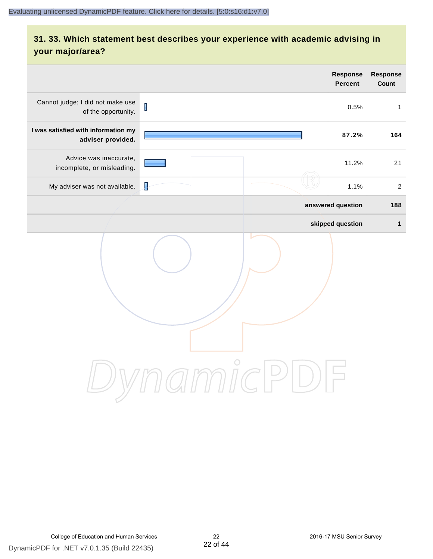# **31. 33. Which statement best describes your experience with academic advising in your major/area?**

|                                                          | Response<br><b>Percent</b>      | Response<br>Count |
|----------------------------------------------------------|---------------------------------|-------------------|
| Cannot judge; I did not make use<br>of the opportunity.  | $\overline{\mathbf{I}}$<br>0.5% | $\mathbf{1}$      |
| I was satisfied with information my<br>adviser provided. | 87.2%                           | 164               |
| Advice was inaccurate,<br>incomplete, or misleading.     | 11.2%                           | 21                |
| My adviser was not available.                            | $\overline{\mathbf{I}}$<br>1.1% | $\overline{2}$    |
|                                                          | answered question               | 188               |
|                                                          | skipped question                | $\mathbf 1$       |
|                                                          | ammicl<br>$\mathrel{\cup}$      |                   |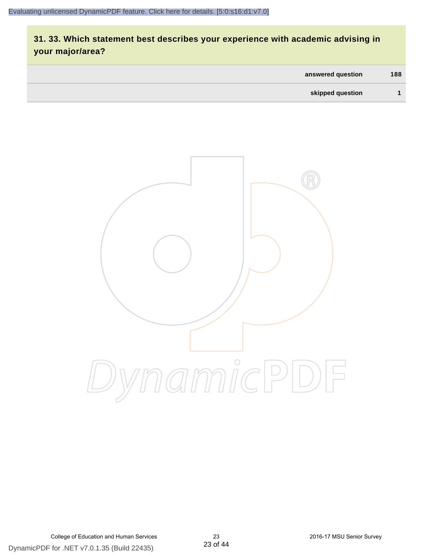# **31. 33. Which statement best describes your experience with academic advising in your major/area?**

| answered question | 188 |
|-------------------|-----|
| skipped question  |     |

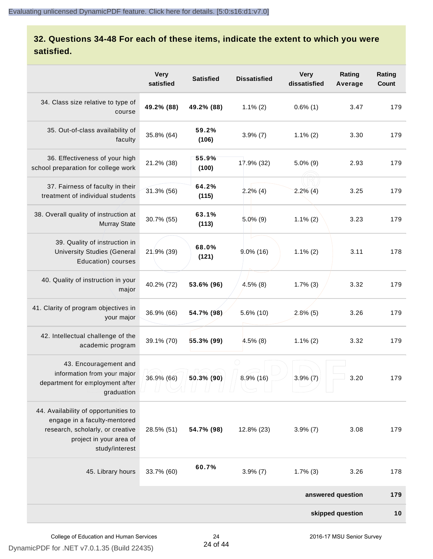#### **32. Questions 34-48 For each of these items, indicate the extent to which you were satisfied.**

|                                                                                                                                                       | <b>Very</b><br>satisfied | <b>Satisfied</b> | <b>Dissatisfied</b> | <b>Very</b><br>dissatisfied | Rating<br>Average | Rating<br>Count |
|-------------------------------------------------------------------------------------------------------------------------------------------------------|--------------------------|------------------|---------------------|-----------------------------|-------------------|-----------------|
| 34. Class size relative to type of<br>course                                                                                                          | 49.2% (88)               | 49.2% (88)       | $1.1\%$ (2)         | $0.6\%$ (1)                 | 3.47              | 179             |
| 35. Out-of-class availability of<br>faculty                                                                                                           | 35.8% (64)               | 59.2%<br>(106)   | $3.9\%$ (7)         | $1.1\%$ (2)                 | 3.30              | 179             |
| 36. Effectiveness of your high<br>school preparation for college work                                                                                 | 21.2% (38)               | 55.9%<br>(100)   | 17.9% (32)          | $5.0\%$ (9)                 | 2.93              | 179             |
| 37. Fairness of faculty in their<br>treatment of individual students                                                                                  | 31.3% (56)               | 64.2%<br>(115)   | 2.2%(4)             | $2.2\%$ (4)                 | 3.25              | 179             |
| 38. Overall quality of instruction at<br><b>Murray State</b>                                                                                          | 30.7% (55)               | 63.1%<br>(113)   | $5.0\%$ (9)         | $1.1\%$ (2)                 | 3.23              | 179             |
| 39. Quality of instruction in<br><b>University Studies (General</b><br>Education) courses                                                             | 21.9% (39)               | 68.0%<br>(121)   | $9.0\%$ (16)        | $1.1\%$ (2)                 | 3.11              | 178             |
| 40. Quality of instruction in your<br>major                                                                                                           | 40.2% (72)               | 53.6% (96)       | $4.5\%$ (8)         | $1.7\%$ (3)                 | 3.32              | 179             |
| 41. Clarity of program objectives in<br>your major                                                                                                    | 36.9% (66)               | 54.7% (98)       | 5.6% (10)           | $2.8\%$ (5)                 | 3.26              | 179             |
| 42. Intellectual challenge of the<br>academic program                                                                                                 | 39.1% (70)               | 55.3% (99)       | $4.5\%$ (8)         | $1.1\%$ (2)                 | 3.32              | 179             |
| 43. Encouragement and<br>information from your major<br>department for employment after<br>graduation                                                 | 36.9% (66)               | 50.3% (90)       | $8.9\%$ (16)        | $3.9\%$ (7)                 | 3.20              | 179             |
| 44. Availability of opportunities to<br>engage in a faculty-mentored<br>research, scholarly, or creative<br>project in your area of<br>study/interest | 28.5% (51)               | 54.7% (98)       | 12.8% (23)          | $3.9\%$ (7)                 | 3.08              | 179             |
| 45. Library hours                                                                                                                                     | 33.7% (60)               | 60.7%            | $3.9\%$ (7)         | $1.7\%$ (3)                 | 3.26              | 178             |
|                                                                                                                                                       |                          |                  |                     |                             | answered question | 179             |
|                                                                                                                                                       |                          |                  |                     |                             | skipped question  | 10              |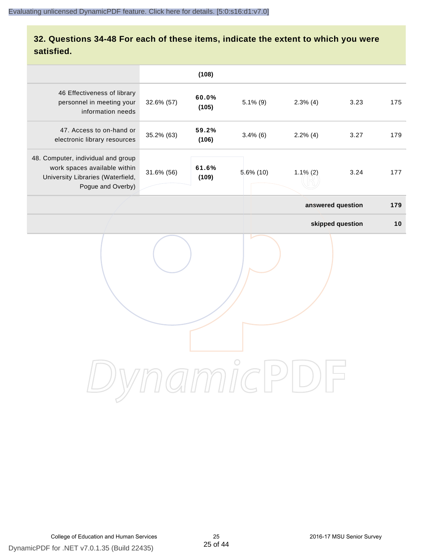#### **32. Questions 34-48 For each of these items, indicate the extent to which you were satisfied.**

|                                                                                                                              |            | (108)          |              |             |                   |     |
|------------------------------------------------------------------------------------------------------------------------------|------------|----------------|--------------|-------------|-------------------|-----|
| 46 Effectiveness of library<br>personnel in meeting your<br>information needs                                                | 32.6% (57) | 60.0%<br>(105) | $5.1\%$ (9)  | $2.3\%$ (4) | 3.23              | 175 |
| 47. Access to on-hand or<br>electronic library resources                                                                     | 35.2% (63) | 59.2%<br>(106) | $3.4\%$ (6)  | $2.2\%$ (4) | 3.27              | 179 |
| 48. Computer, individual and group<br>work spaces available within<br>University Libraries (Waterfield,<br>Pogue and Overby) | 31.6% (56) | 61.6%<br>(109) | $5.6\%$ (10) | $1.1\%$ (2) | 3.24              | 177 |
|                                                                                                                              |            |                |              |             | answered question | 179 |
|                                                                                                                              |            |                |              |             | skipped question  | 10  |
|                                                                                                                              |            |                |              |             |                   |     |
|                                                                                                                              |            |                |              |             |                   |     |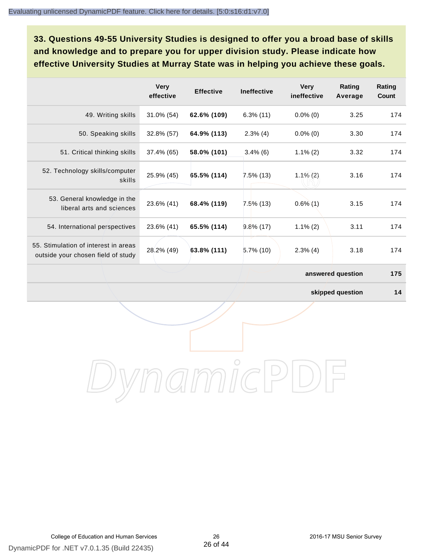**33. Questions 49-55 University Studies is designed to offer you a broad base of skills and knowledge and to prepare you for upper division study. Please indicate how effective University Studies at Murray State was in helping you achieve these goals.**

|                                                                            | <b>Very</b><br>effective | <b>Effective</b> | <b>Ineffective</b> | <b>Very</b><br>ineffective | Rating<br>Average | Rating<br>Count |
|----------------------------------------------------------------------------|--------------------------|------------------|--------------------|----------------------------|-------------------|-----------------|
| 49. Writing skills                                                         | $31.0\%$ (54)            | 62.6% (109)      | $6.3\%$ (11)       | $0.0\%$ (0)                | 3.25              | 174             |
| 50. Speaking skills                                                        | 32.8% (57)               | 64.9% (113)      | $2.3\%$ (4)        | $0.0\%$ (0)                | 3.30              | 174             |
| 51. Critical thinking skills                                               | 37.4% (65)               | 58.0% (101)      | $3.4\%$ (6)        | $1.1\%$ (2)                | 3.32              | 174             |
| 52. Technology skills/computer<br>skills                                   | 25.9% (45)               | 65.5% (114)      | $7.5\%$ (13)       | $1.1\%$ (2)                | 3.16              | 174             |
| 53. General knowledge in the<br>liberal arts and sciences                  | 23.6% (41)               | 68.4% (119)      | $7.5\%$ (13)       | $0.6\%$ (1)                | 3.15              | 174             |
| 54. International perspectives                                             | 23.6% (41)               | 65.5% (114)      | $9.8\%$ (17)       | $1.1\%$ (2)                | 3.11              | 174             |
| 55. Stimulation of interest in areas<br>outside your chosen field of study | 28.2% (49)               | 63.8% (111)      | $5.7\%$ (10)       | $2.3\%$ (4)                | 3.18              | 174             |
|                                                                            |                          |                  |                    |                            | answered question | 175             |

**skipped question 14**

DynamicPDF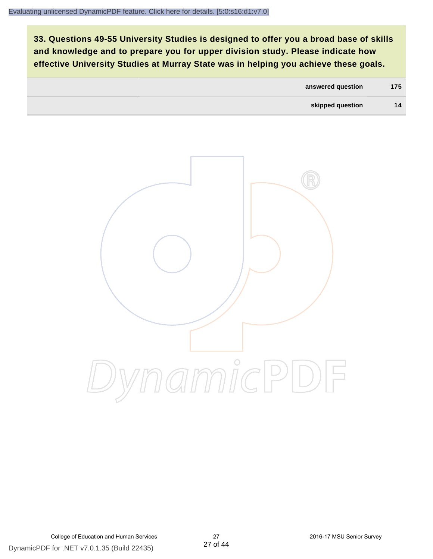**33. Questions 49-55 University Studies is designed to offer you a broad base of skills and knowledge and to prepare you for upper division study. Please indicate how effective University Studies at Murray State was in helping you achieve these goals.**

| answered question | 175 |
|-------------------|-----|
| skipped question  | 14  |

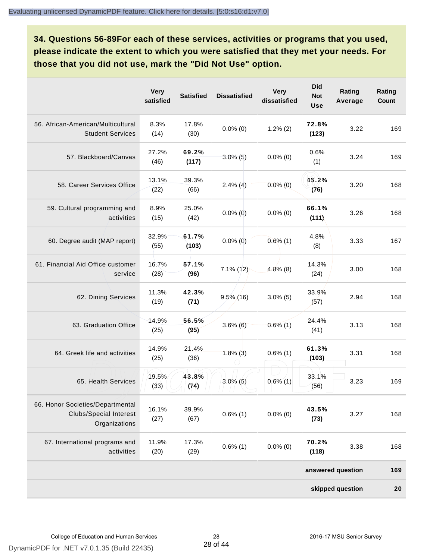**34. Questions 56-89For each of these services, activities or programs that you used, please indicate the extent to which you were satisfied that they met your needs. For those that you did not use, mark the "Did Not Use" option.**

|                                                                                    | <b>Very</b><br>satisfied | <b>Satisfied</b> | <b>Dissatisfied</b> | <b>Very</b><br>dissatisfied | <b>Did</b><br><b>Not</b><br><b>Use</b> | Rating<br>Average | Rating<br>Count |
|------------------------------------------------------------------------------------|--------------------------|------------------|---------------------|-----------------------------|----------------------------------------|-------------------|-----------------|
| 56. African-American/Multicultural<br><b>Student Services</b>                      | 8.3%<br>(14)             | 17.8%<br>(30)    | $0.0\%$ (0)         | $1.2\%$ (2)                 | 72.8%<br>(123)                         | 3.22              | 169             |
| 57. Blackboard/Canvas                                                              | 27.2%<br>(46)            | 69.2%<br>(117)   | $3.0\%$ (5)         | $0.0\%$ (0)                 | 0.6%<br>(1)                            | 3.24              | 169             |
| 58. Career Services Office                                                         | 13.1%<br>(22)            | 39.3%<br>(66)    | $2.4\%$ (4)         | $0.0\%$ (0)                 | 45.2%<br>(76)                          | 3.20              | 168             |
| 59. Cultural programming and<br>activities                                         | 8.9%<br>(15)             | 25.0%<br>(42)    | $0.0\%$ (0)         | $0.0\%$ (0)                 | 66.1%<br>(111)                         | 3.26              | 168             |
| 60. Degree audit (MAP report)                                                      | 32.9%<br>(55)            | 61.7%<br>(103)   | $0.0\%$ (0)         | $0.6\%$ (1)                 | 4.8%<br>(8)                            | 3.33              | 167             |
| 61. Financial Aid Office customer<br>service                                       | 16.7%<br>(28)            | 57.1%<br>(96)    | $7.1\%$ (12)        | $4.8\%$ (8)                 | 14.3%<br>(24)                          | 3.00              | 168             |
| 62. Dining Services                                                                | 11.3%<br>(19)            | 42.3%<br>(71)    | $9.5\%$ (16)        | $3.0\%$ (5)                 | 33.9%<br>(57)                          | 2.94              | 168             |
| 63. Graduation Office                                                              | 14.9%<br>(25)            | 56.5%<br>(95)    | $3.6\%$ (6)         | $0.6\%$ (1)                 | 24.4%<br>(41)                          | 3.13              | 168             |
| 64. Greek life and activities                                                      | 14.9%<br>(25)            | 21.4%<br>(36)    | $1.8\%$ (3)         | $0.6\%$ (1)                 | 61.3%<br>(103)                         | 3.31              | 168             |
| 65. Health Services                                                                | 19.5%<br>(33)            | 43.8%<br>(74)    | $3.0\%$ (5)         | $0.6\%$ (1)                 | 33.1%<br>(56)                          | 3.23              | 169             |
| 66. Honor Societies/Departmental<br><b>Clubs/Special Interest</b><br>Organizations | 16.1%<br>(27)            | 39.9%<br>(67)    | $0.6\%$ (1)         | $0.0\%$ (0)                 | 43.5%<br>(73)                          | 3.27              | 168             |
| 67. International programs and<br>activities                                       | 11.9%<br>(20)            | 17.3%<br>(29)    | $0.6\%$ (1)         | $0.0\%$ (0)                 | 70.2%<br>(118)                         | 3.38              | 168             |
|                                                                                    |                          |                  |                     |                             |                                        | answered question | 169             |
|                                                                                    |                          |                  |                     |                             |                                        | skipped question  | 20              |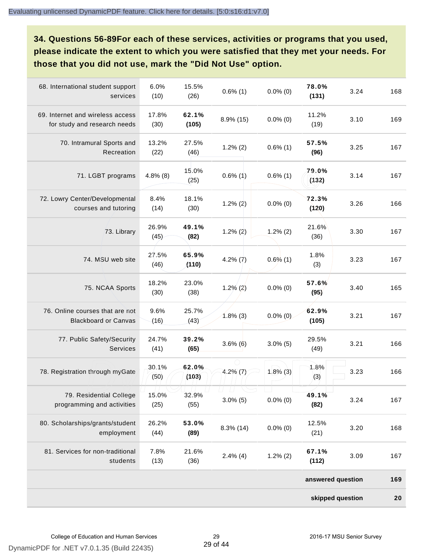**34. Questions 56-89For each of these services, activities or programs that you used, please indicate the extent to which you were satisfied that they met your needs. For those that you did not use, mark the "Did Not Use" option.**

| 68. International student support<br>services                    | 6.0%<br>(10)  | 15.5%<br>(26)  | $0.6\%$ (1)  | $0.0\%$ (0) | 78.0%<br>(131)    | 3.24 | 168 |
|------------------------------------------------------------------|---------------|----------------|--------------|-------------|-------------------|------|-----|
| 69. Internet and wireless access<br>for study and research needs | 17.8%<br>(30) | 62.1%<br>(105) | 8.9% (15)    | $0.0\%$ (0) | 11.2%<br>(19)     | 3.10 | 169 |
| 70. Intramural Sports and<br>Recreation                          | 13.2%<br>(22) | 27.5%<br>(46)  | $1.2\%$ (2)  | $0.6\%$ (1) | 57.5%<br>(96)     | 3.25 | 167 |
| 71. LGBT programs                                                | $4.8\%$ (8)   | 15.0%<br>(25)  | $0.6\%$ (1)  | $0.6\%$ (1) | 79.0%<br>(132)    | 3.14 | 167 |
| 72. Lowry Center/Developmental<br>courses and tutoring           | 8.4%<br>(14)  | 18.1%<br>(30)  | $1.2\%$ (2)  | $0.0\%$ (0) | 72.3%<br>(120)    | 3.26 | 166 |
| 73. Library                                                      | 26.9%<br>(45) | 49.1%<br>(82)  | $1.2\% (2)$  | $1.2\%$ (2) | 21.6%<br>(36)     | 3.30 | 167 |
| 74. MSU web site                                                 | 27.5%<br>(46) | 65.9%<br>(110) | $4.2\%$ (7)  | $0.6\%$ (1) | 1.8%<br>(3)       | 3.23 | 167 |
| 75. NCAA Sports                                                  | 18.2%<br>(30) | 23.0%<br>(38)  | $1.2\%$ (2)  | $0.0\%$ (0) | 57.6%<br>(95)     | 3.40 | 165 |
| 76. Online courses that are not<br><b>Blackboard or Canvas</b>   | 9.6%<br>(16)  | 25.7%<br>(43)  | $1.8\%$ (3)  | $0.0\%$ (0) | 62.9%<br>(105)    | 3.21 | 167 |
| 77. Public Safety/Security<br>Services                           | 24.7%<br>(41) | 39.2%<br>(65)  | $3.6\%$ (6)  | $3.0\%$ (5) | 29.5%<br>(49)     | 3.21 | 166 |
| 78. Registration through myGate                                  | 30.1%<br>(50) | 62.0%<br>(103) | $4.2\%$ (7)  | $1.8\%$ (3) | 1.8%<br>(3)       | 3.23 | 166 |
| 79. Residential College<br>programming and activities            | 15.0%<br>(25) | 32.9%<br>(55)  | $3.0\%$ (5)  | $0.0\%$ (0) | 49.1%<br>(82)     | 3.24 | 167 |
| 80. Scholarships/grants/student<br>employment                    | 26.2%<br>(44) | 53.0%<br>(89)  | $8.3\%$ (14) | $0.0\%$ (0) | 12.5%<br>(21)     | 3.20 | 168 |
| 81. Services for non-traditional<br>students                     | 7.8%<br>(13)  | 21.6%<br>(36)  | $2.4\%$ (4)  | $1.2\%$ (2) | 67.1%<br>(112)    | 3.09 | 167 |
|                                                                  |               |                |              |             | answered question |      | 169 |
|                                                                  |               |                |              |             | skipped question  |      | 20  |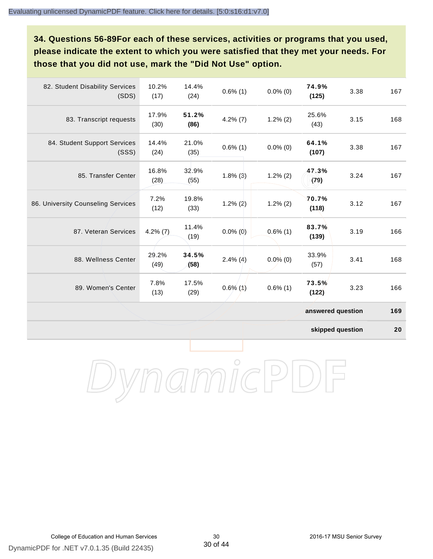**34. Questions 56-89For each of these services, activities or programs that you used, please indicate the extent to which you were satisfied that they met your needs. For those that you did not use, mark the "Did Not Use" option.**

| 82. Student Disability Services<br>(SDS) | 10.2%<br>(17) | 14.4%<br>(24) | $0.6\%$ (1) | $0.0\%$ (0) | 74.9%<br>(125)    | 3.38 | 167 |
|------------------------------------------|---------------|---------------|-------------|-------------|-------------------|------|-----|
| 83. Transcript requests                  | 17.9%<br>(30) | 51.2%<br>(86) | $4.2\%$ (7) | $1.2\%$ (2) | 25.6%<br>(43)     | 3.15 | 168 |
| 84. Student Support Services<br>(SSS)    | 14.4%<br>(24) | 21.0%<br>(35) | $0.6\%$ (1) | $0.0\%$ (0) | 64.1%<br>(107)    | 3.38 | 167 |
| 85. Transfer Center                      | 16.8%<br>(28) | 32.9%<br>(55) | $1.8\%$ (3) | $1.2\%$ (2) | 47.3%<br>(79)     | 3.24 | 167 |
| 86. University Counseling Services       | 7.2%<br>(12)  | 19.8%<br>(33) | $1.2\%$ (2) | $1.2\%$ (2) | 70.7%<br>(118)    | 3.12 | 167 |
| 87. Veteran Services                     | $4.2\%$ (7)   | 11.4%<br>(19) | $0.0\%$ (0) | $0.6\%$ (1) | 83.7%<br>(139)    | 3.19 | 166 |
| 88. Wellness Center                      | 29.2%<br>(49) | 34.5%<br>(58) | $2.4\%$ (4) | $0.0\%$ (0) | 33.9%<br>(57)     | 3.41 | 168 |
| 89. Women's Center                       | 7.8%<br>(13)  | 17.5%<br>(29) | $0.6\%$ (1) | $0.6\%$ (1) | 73.5%<br>(122)    | 3.23 | 166 |
|                                          |               |               |             |             | answered question |      | 169 |

**skipped question 20**

DynamicPDF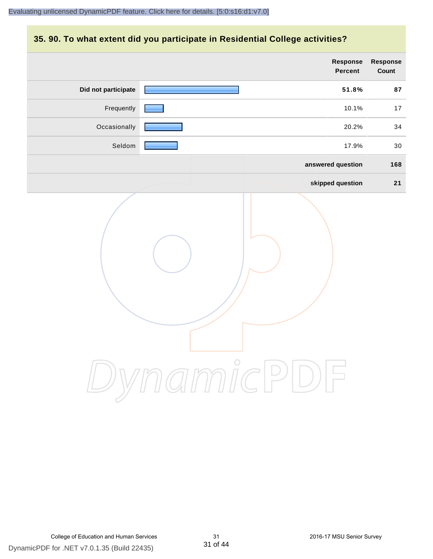#### **35. 90. To what extent did you participate in Residential College activities?**

|                     | Response<br>Percent | Response<br>Count |
|---------------------|---------------------|-------------------|
| Did not participate | 51.8%               | 87                |
| Frequently          | 10.1%               | 17                |
| Occasionally        | 20.2%               | 34                |
| Seldom              | 17.9%               | 30                |
|                     | answered question   | 168               |
|                     | skipped question    | 21                |
|                     | mamicPD             |                   |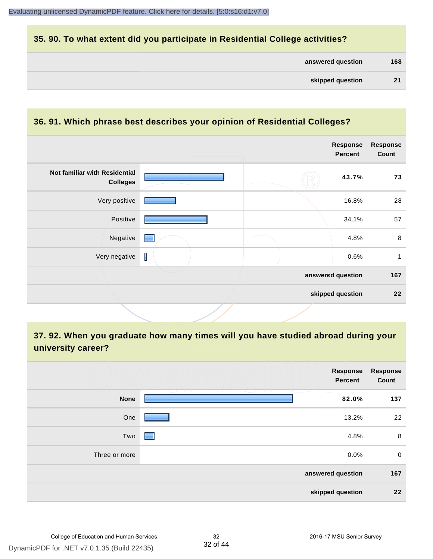#### **35. 90. To what extent did you participate in Residential College activities?**

| answered question | 168 |
|-------------------|-----|
|-------------------|-----|

#### **36. 91. Which phrase best describes your opinion of Residential Colleges?**

|                                                  |             | Response<br><b>Percent</b> | <b>Response</b><br>Count |
|--------------------------------------------------|-------------|----------------------------|--------------------------|
| Not familiar with Residential<br><b>Colleges</b> |             | 43.7%                      | 73                       |
| Very positive                                    |             | 16.8%                      | 28                       |
| Positive                                         |             | 34.1%                      | 57                       |
| Negative                                         |             | 4.8%                       | $\,8\,$                  |
| Very negative                                    | $\mathsf I$ | 0.6%                       | 1                        |
|                                                  |             | answered question          | 167                      |
|                                                  |             | skipped question           | 22                       |

**37. 92. When you graduate how many times will you have studied abroad during your university career?**

|               | <b>Response</b><br>Percent     | <b>Response</b><br>Count |
|---------------|--------------------------------|--------------------------|
| <b>None</b>   | - 1 - 1 - 1<br>$\sim$<br>82.0% | 137                      |
| One           | 13.2%                          | 22                       |
| Two           | 4.8%<br>-                      | 8                        |
| Three or more | 0.0%                           | $\mathbf 0$              |
|               | answered question              | 167                      |
|               | skipped question               | 22                       |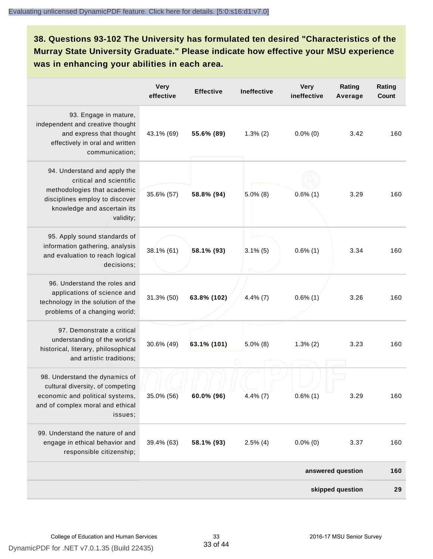**38. Questions 93-102 The University has formulated ten desired "Characteristics of the Murray State University Graduate." Please indicate how effective your MSU experience was in enhancing your abilities in each area.**

|                                                                                                                                                                      | <b>Very</b><br>effective | <b>Effective</b> | Ineffective | <b>Very</b><br>ineffective | Rating<br>Average | Rating<br>Count |
|----------------------------------------------------------------------------------------------------------------------------------------------------------------------|--------------------------|------------------|-------------|----------------------------|-------------------|-----------------|
| 93. Engage in mature,<br>independent and creative thought<br>and express that thought<br>effectively in oral and written<br>communication;                           | 43.1% (69)               | 55.6% (89)       | $1.3\%$ (2) | $0.0\%$ (0)                | 3.42              | 160             |
| 94. Understand and apply the<br>critical and scientific<br>methodologies that academic<br>disciplines employ to discover<br>knowledge and ascertain its<br>validity; | 35.6% (57)               | 58.8% (94)       | $5.0\%$ (8) | $0.6\%$ (1)                | 3.29              | 160             |
| 95. Apply sound standards of<br>information gathering, analysis<br>and evaluation to reach logical<br>decisions;                                                     | 38.1% (61)               | 58.1% (93)       | $3.1\%$ (5) | $0.6\%$ (1)                | 3.34              | 160             |
| 96. Understand the roles and<br>applications of science and<br>technology in the solution of the<br>problems of a changing world;                                    | 31.3% (50)               | 63.8% (102)      | $4.4\%$ (7) | $0.6\%$ (1)                | 3.26              | 160             |
| 97. Demonstrate a critical<br>understanding of the world's<br>historical, literary, philosophical<br>and artistic traditions;                                        | 30.6% (49)               | 63.1% (101)      | $5.0\%$ (8) | $1.3\%$ (2)                | 3.23              | 160             |
| 98. Understand the dynamics of<br>cultural diversity, of competing<br>economic and political systems,<br>and of complex moral and ethical<br>issues;                 | 35.0% (56)               | 60.0% (96)       | $4.4\%$ (7) | $0.6\%$ (1)                | 3.29              | 160             |
| 99. Understand the nature of and<br>engage in ethical behavior and<br>responsible citizenship;                                                                       | 39.4% (63)               | 58.1% (93)       | $2.5\%$ (4) | $0.0\%$ (0)                | 3.37              | 160             |
|                                                                                                                                                                      |                          |                  |             |                            | answered question | 160             |
|                                                                                                                                                                      |                          |                  |             |                            | skipped question  | 29              |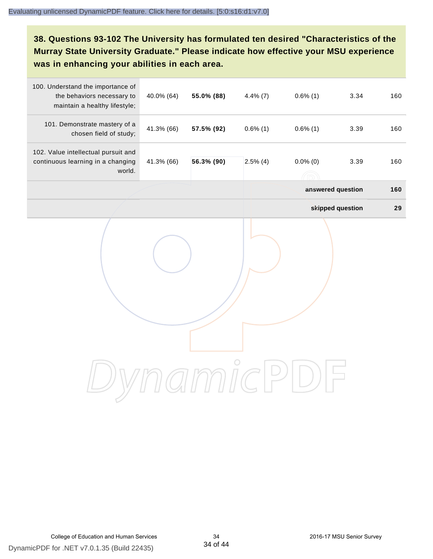# **38. Questions 93-102 The University has formulated ten desired "Characteristics of the Murray State University Graduate." Please indicate how effective your MSU experience was in enhancing your abilities in each area.**

| 100. Understand the importance of<br>the behaviors necessary to<br>maintain a healthy lifestyle; | 40.0% (64) | 55.0% (88) | $4.4\%$ (7) | $0.6\%$ (1) | 3.34              | 160 |
|--------------------------------------------------------------------------------------------------|------------|------------|-------------|-------------|-------------------|-----|
| 101. Demonstrate mastery of a<br>chosen field of study;                                          | 41.3% (66) | 57.5% (92) | $0.6\%$ (1) | $0.6\%$ (1) | 3.39              | 160 |
| 102. Value intellectual pursuit and<br>continuous learning in a changing<br>world.               | 41.3% (66) | 56.3% (90) | $2.5\%$ (4) | $0.0\%$ (0) | 3.39              | 160 |
|                                                                                                  |            |            |             |             | answered question | 160 |
|                                                                                                  |            |            |             |             | skipped question  | 29  |
|                                                                                                  |            |            |             |             |                   |     |
|                                                                                                  |            |            |             |             |                   |     |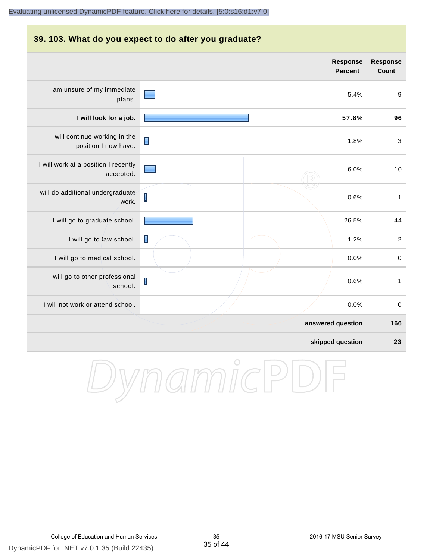#### **39. 103. What do you expect to do after you graduate? Response Response Percent Count** I am unsure of my immediate 5.4% 9 plans. **I will look for a job. 57.8% 96** I will continue working in the Π 1.8% 3 position I now have. I will work at a position I recently 6.0% 10 accepted. I will do additional undergraduate  $\overline{\mathsf{I}}$ 0.6% 1 work. I will go to graduate school. **26.5%** 44 I will go to law school.  $\Box$ I will go to medical school.  $\begin{array}{ccc} 0.0\% & 0 \end{array}$ I will go to other professional  $\mathbf I$ 0.6% 1 school. I will not work or attend school. 0.0% 0 **answered question 166 skipped question 23**

DynamicPD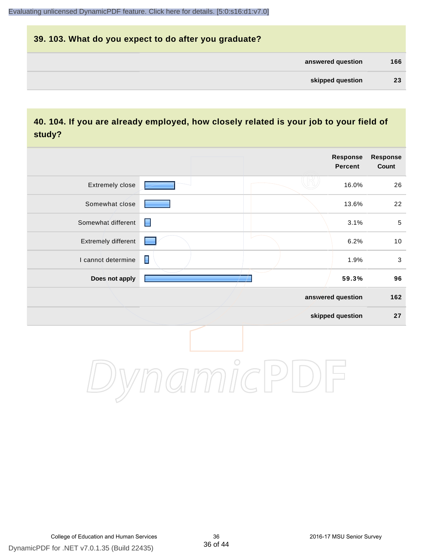| 39. 103. What do you expect to do after you graduate? |     |
|-------------------------------------------------------|-----|
| answered question                                     | 166 |
| skipped question                                      | 23  |

# **40. 104. If you are already employed, how closely related is your job to your field of study?**

|                     |                | <b>Response</b><br><b>Percent</b> | Response<br>Count |
|---------------------|----------------|-----------------------------------|-------------------|
| Extremely close     |                | 16.0%                             | 26                |
| Somewhat close      |                | 13.6%                             | 22                |
| Somewhat different  | ∎              | 3.1%                              | $\sqrt{5}$        |
| Extremely different |                | 6.2%                              | 10                |
| I cannot determine  | $\blacksquare$ | 1.9%                              | $\sqrt{3}$        |
| Does not apply      |                | 59.3%                             | 96                |
|                     |                | answered question                 | 162               |
|                     |                | skipped question                  | 27                |
|                     | $\bigcap$      |                                   |                   |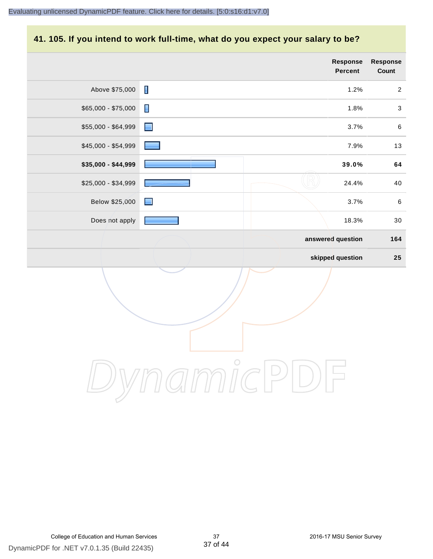# **41. 105. If you intend to work full-time, what do you expect your salary to be?**

|                     |                | Response<br>Percent | Response<br>Count |
|---------------------|----------------|---------------------|-------------------|
| Above \$75,000      | $\blacksquare$ | 1.2%                | $\overline{2}$    |
| $$65,000 - $75,000$ | $\blacksquare$ | 1.8%                | $\sqrt{3}$        |
| \$55,000 - \$64,999 | $\blacksquare$ | 3.7%                | $\,6\,$           |
| \$45,000 - \$54,999 |                | 7.9%                | 13                |
| \$35,000 - \$44,999 |                | 39.0%               | 64                |
| \$25,000 - \$34,999 |                | 24.4%               | 40                |
| Below \$25,000      | $\blacksquare$ | 3.7%                | $\,6\,$           |
| Does not apply      |                | 18.3%               | 30                |
|                     |                | answered question   | 164               |
|                     |                | skipped question    | 25                |
|                     | $\bigcirc$     |                     |                   |
|                     |                |                     |                   |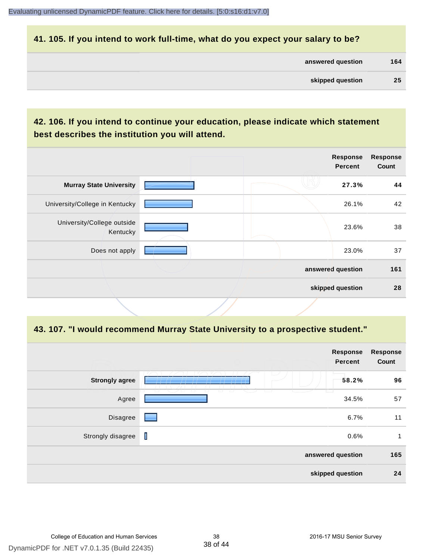#### **41. 105. If you intend to work full-time, what do you expect your salary to be?**

| answered question | 164 |
|-------------------|-----|
|                   |     |

| skipped question | 25 |  |
|------------------|----|--|
|                  |    |  |

#### **42. 106. If you intend to continue your education, please indicate which statement best describes the institution you will attend.**

|  | <b>Response</b><br><b>Percent</b> | <b>Response</b><br>Count              |
|--|-----------------------------------|---------------------------------------|
|  | 27.3%                             | 44                                    |
|  | 26.1%                             | 42                                    |
|  | 23.6%                             | 38                                    |
|  | 23.0%                             | 37                                    |
|  |                                   | 161                                   |
|  |                                   | 28                                    |
|  |                                   | answered question<br>skipped question |

#### **43. 107. "I would recommend Murray State University to a prospective student."**

|                       |                                                        | <b>Response</b><br>Percent | <b>Response</b><br>Count |
|-----------------------|--------------------------------------------------------|----------------------------|--------------------------|
| <b>Strongly agree</b> | L                                                      | 58.2%                      | 96                       |
| Agree                 | $\sqcup$<br>ப<br>$\overline{a}$<br>$\overline{a}$<br>ட | 34.5%                      | 57                       |
| Disagree              | ۰                                                      | 6.7%                       | 11                       |
| Strongly disagree     | T                                                      | 0.6%                       | 1                        |
|                       |                                                        | answered question          | 165                      |
|                       |                                                        | skipped question           | 24                       |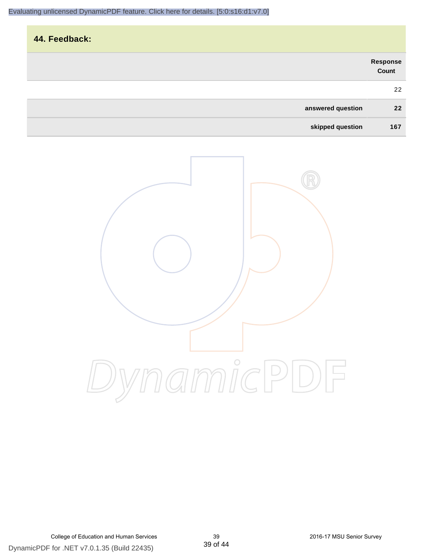| 44. Feedback:     |                           |
|-------------------|---------------------------|
|                   | <b>Response<br/>Count</b> |
|                   | 22                        |
| answered question | 22                        |
| skipped question  | 167                       |

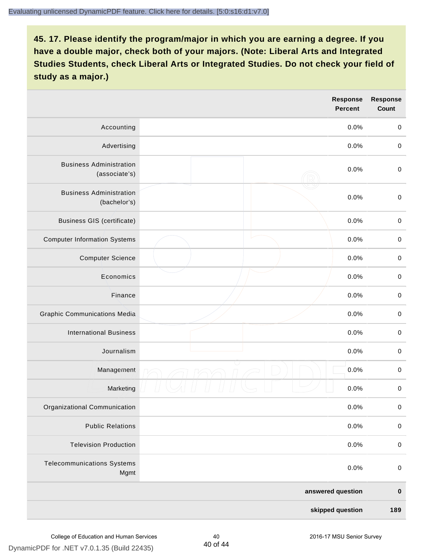|                                                 | Response<br><b>Percent</b> | <b>Response</b><br>Count |
|-------------------------------------------------|----------------------------|--------------------------|
| Accounting                                      | 0.0%                       | $\mathbf 0$              |
| Advertising                                     | 0.0%                       | $\mathbf 0$              |
| <b>Business Administration</b><br>(associate's) | 0.0%                       | $\mathbf 0$              |
| <b>Business Administration</b><br>(bachelor's)  | 0.0%                       | $\pmb{0}$                |
| <b>Business GIS (certificate)</b>               | 0.0%                       | $\,0\,$                  |
| <b>Computer Information Systems</b>             | 0.0%                       | $\pmb{0}$                |
| <b>Computer Science</b>                         | 0.0%                       | $\pmb{0}$                |
| Economics                                       | 0.0%                       | $\mathbf 0$              |
| Finance                                         | 0.0%                       | $\mathbf 0$              |
| <b>Graphic Communications Media</b>             | 0.0%                       | $\mathbf 0$              |
| <b>International Business</b>                   | 0.0%                       | $\pmb{0}$                |
| Journalism                                      | 0.0%                       | $\pmb{0}$                |
| Management                                      | 0.0%                       | $\pmb{0}$                |
| Marketing                                       | 0.0%                       | $\pmb{0}$                |
| Organizational Communication                    | 0.0%                       | $\pmb{0}$                |
| <b>Public Relations</b>                         | 0.0%                       | $\pmb{0}$                |
| <b>Television Production</b>                    | 0.0%                       | $\mathbf 0$              |
| <b>Telecommunications Systems</b><br>Mgmt       | 0.0%                       | $\pmb{0}$                |
|                                                 | answered question          | $\pmb{0}$                |
|                                                 | skipped question           | 189                      |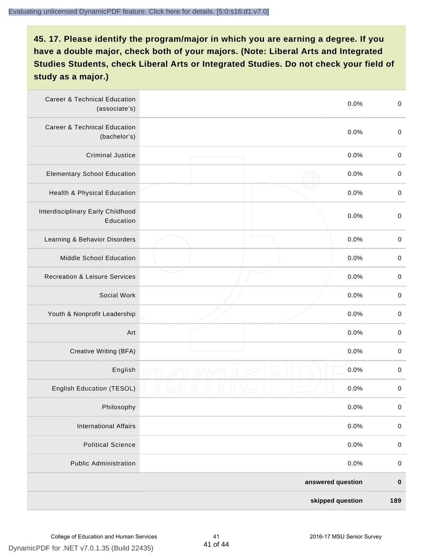| <b>Career &amp; Technical Education</b><br>(associate's) | 0.0%              | $\pmb{0}$   |
|----------------------------------------------------------|-------------------|-------------|
| <b>Career &amp; Technical Education</b><br>(bachelor's)  | 0.0%              | $\mathbf 0$ |
| <b>Criminal Justice</b>                                  | 0.0%              | $\pmb{0}$   |
| <b>Elementary School Education</b>                       | 0.0%              | $\pmb{0}$   |
| Health & Physical Education                              | 0.0%              | $\pmb{0}$   |
| Interdisciplinary Early Childhood<br>Education           | 0.0%              | $\pmb{0}$   |
| Learning & Behavior Disorders                            | 0.0%              | $\pmb{0}$   |
| Middle School Education                                  | 0.0%              | $\mathbf 0$ |
| <b>Recreation &amp; Leisure Services</b>                 | 0.0%              | $\mathbf 0$ |
| Social Work                                              | 0.0%              | $\mathbf 0$ |
| Youth & Nonprofit Leadership                             | 0.0%              | $\mathbf 0$ |
| Art                                                      | 0.0%              | $\pmb{0}$   |
| Creative Writing (BFA)                                   | 0.0%              | $\pmb{0}$   |
| English                                                  | 0.0%              | $\pmb{0}$   |
| English Education (TESOL)                                | 0.0%              | $\pmb{0}$   |
| Philosophy                                               | 0.0%              | 0           |
| <b>International Affairs</b>                             | 0.0%              | $\pmb{0}$   |
| <b>Political Science</b>                                 | 0.0%              | $\mathbf 0$ |
| <b>Public Administration</b>                             | 0.0%              | $\mathbf 0$ |
|                                                          | answered question | $\pmb{0}$   |
|                                                          | skipped question  | 189         |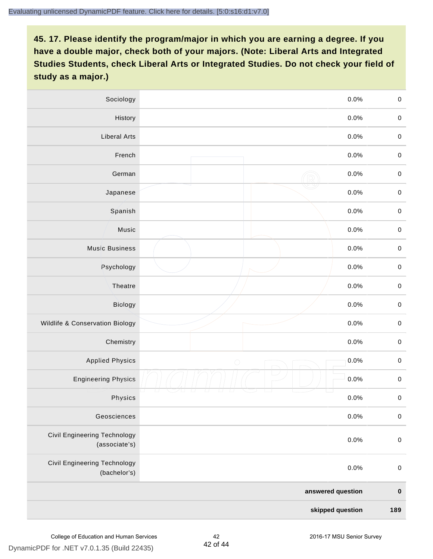| Sociology                                     |                   | 0.0%    | $\mathbf 0$ |
|-----------------------------------------------|-------------------|---------|-------------|
| History                                       |                   | $0.0\%$ | $\mathbf 0$ |
| <b>Liberal Arts</b>                           |                   | 0.0%    | $\mathbf 0$ |
| French                                        |                   | 0.0%    | $\pmb{0}$   |
| German                                        |                   | 0.0%    | $\mathbf 0$ |
| Japanese                                      |                   | 0.0%    | $\mathsf 0$ |
| Spanish                                       |                   | 0.0%    | $\mathbf 0$ |
| Music                                         |                   | 0.0%    | $\mathbf 0$ |
| <b>Music Business</b>                         |                   | 0.0%    | $\pmb{0}$   |
| Psychology                                    |                   | 0.0%    | $\mathbf 0$ |
| Theatre                                       |                   | 0.0%    | $\mathbf 0$ |
| Biology                                       |                   | 0.0%    | $\mathbf 0$ |
| Wildlife & Conservation Biology               |                   | 0.0%    | $\mathbf 0$ |
| Chemistry                                     |                   | 0.0%    | $\pmb{0}$   |
| <b>Applied Physics</b>                        | $\bigcirc$        | 0.0%    | $\mathbf 0$ |
| <b>Engineering Physics</b>                    |                   | 0.0%    | $\mathbf 0$ |
| Physics                                       |                   | 0.0%    | $\mathbf 0$ |
| Geosciences                                   |                   | 0.0%    | $\mathbf 0$ |
| Civil Engineering Technology<br>(associate's) |                   | 0.0%    | $\pmb{0}$   |
| Civil Engineering Technology<br>(bachelor's)  |                   | 0.0%    | $\pmb{0}$   |
|                                               | answered question |         | $\pmb{0}$   |
|                                               | skipped question  |         | 189         |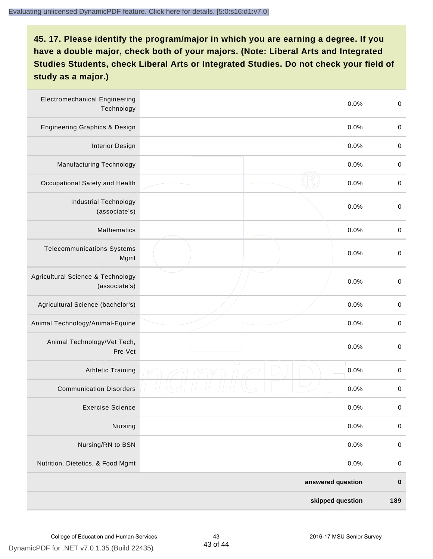| <b>Electromechanical Engineering</b><br>Technology | 0.0%              | $\mathbf 0$ |
|----------------------------------------------------|-------------------|-------------|
| <b>Engineering Graphics &amp; Design</b>           | 0.0%              | $\mathbf 0$ |
| <b>Interior Design</b>                             | 0.0%              | $\pmb{0}$   |
| Manufacturing Technology                           | 0.0%              | $\pmb{0}$   |
| Occupational Safety and Health                     | 0.0%              | $\pmb{0}$   |
| <b>Industrial Technology</b><br>(associate's)      | 0.0%              | $\pmb{0}$   |
| <b>Mathematics</b>                                 | 0.0%              | $\pmb{0}$   |
| <b>Telecommunications Systems</b><br>Mgmt          | 0.0%              | $\pmb{0}$   |
| Agricultural Science & Technology<br>(associate's) | 0.0%              | $\mathbf 0$ |
| Agricultural Science (bachelor's)                  | 0.0%              | $\mathbf 0$ |
| Animal Technology/Animal-Equine                    | 0.0%              | $\pmb{0}$   |
| Animal Technology/Vet Tech,<br>Pre-Vet             | 0.0%              | $\pmb{0}$   |
| <b>Athletic Training</b>                           | 0.0%              | $\pmb{0}$   |
| <b>Communication Disorders</b>                     | 0.0%              | $\pmb{0}$   |
| <b>Exercise Science</b>                            | 0.0%              | $\pmb{0}$   |
| Nursing                                            | 0.0%              | $\mathbf 0$ |
| Nursing/RN to BSN                                  | 0.0%              | $\pmb{0}$   |
| Nutrition, Dietetics, & Food Mgmt                  | 0.0%              | $\mathbf 0$ |
|                                                    | answered question | $\pmb{0}$   |
|                                                    | skipped question  | 189         |